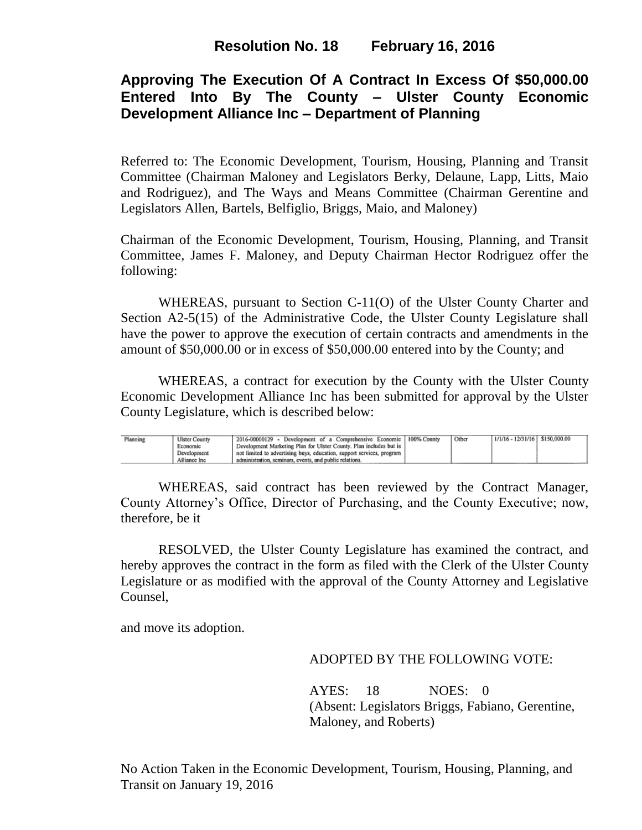# **Approving The Execution Of A Contract In Excess Of \$50,000.00 Entered Into By The County – Ulster County Economic Development Alliance Inc – Department of Planning**

Referred to: The Economic Development, Tourism, Housing, Planning and Transit Committee (Chairman Maloney and Legislators Berky, Delaune, Lapp, Litts, Maio and Rodriguez), and The Ways and Means Committee (Chairman Gerentine and Legislators Allen, Bartels, Belfiglio, Briggs, Maio, and Maloney)

Chairman of the Economic Development, Tourism, Housing, Planning, and Transit Committee, James F. Maloney, and Deputy Chairman Hector Rodriguez offer the following:

WHEREAS, pursuant to Section C-11(O) of the Ulster County Charter and Section A2-5(15) of the Administrative Code, the Ulster County Legislature shall have the power to approve the execution of certain contracts and amendments in the amount of \$50,000.00 or in excess of \$50,000.00 entered into by the County; and

WHEREAS, a contract for execution by the County with the Ulster County Economic Development Alliance Inc has been submitted for approval by the Ulster County Legislature, which is described below:

| Planning | <b>Ulster County</b> | 2016-00000129 - Development of a Comprehensive Economic               | 100% County | Other | $1/1/16 - 12/31/16$ S150,000.00 |  |
|----------|----------------------|-----------------------------------------------------------------------|-------------|-------|---------------------------------|--|
|          | Economic             | Development Marketing Plan for Ulster County. Plan includes but is    |             |       |                                 |  |
|          | Development          | not limited to advertising buys, education, support services, program |             |       |                                 |  |
|          | Alliance Inc         | administration, seminars, events, and public relations.               |             |       |                                 |  |

WHEREAS, said contract has been reviewed by the Contract Manager, County Attorney's Office, Director of Purchasing, and the County Executive; now, therefore, be it

RESOLVED, the Ulster County Legislature has examined the contract, and hereby approves the contract in the form as filed with the Clerk of the Ulster County Legislature or as modified with the approval of the County Attorney and Legislative Counsel,

and move its adoption.

### ADOPTED BY THE FOLLOWING VOTE:

AYES: 18 NOES: 0 (Absent: Legislators Briggs, Fabiano, Gerentine, Maloney, and Roberts)

No Action Taken in the Economic Development, Tourism, Housing, Planning, and Transit on January 19, 2016